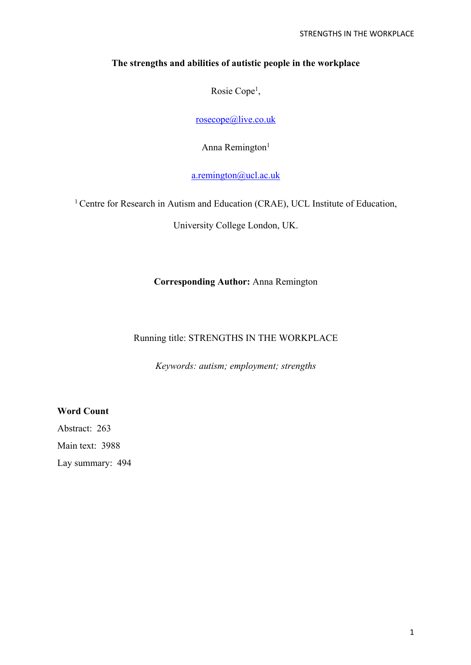## **The strengths and abilities of autistic people in the workplace**

Rosie Cope<sup>1</sup>,

rosecope@live.co.uk

Anna Remington<sup>1</sup>

a.remington@ucl.ac.uk

<sup>1</sup> Centre for Research in Autism and Education (CRAE), UCL Institute of Education,

University College London, UK.

**Corresponding Author:** Anna Remington

Running title: STRENGTHS IN THE WORKPLACE

*Keywords: autism; employment; strengths*

## **Word Count**

Abstract: 263

Main text: 3988

Lay summary: 494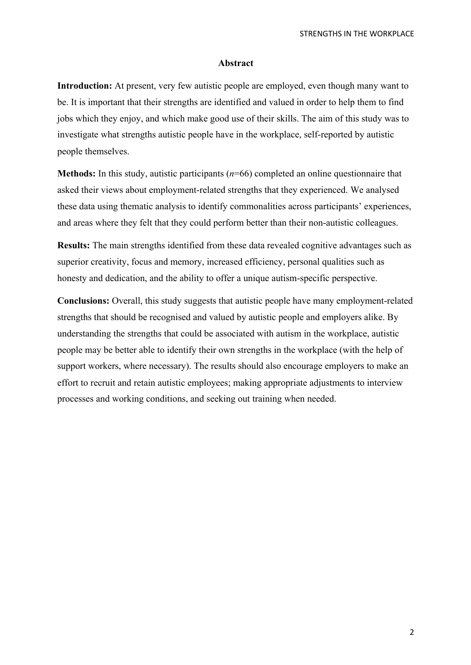#### **Abstract**

**Introduction:** At present, very few autistic people are employed, even though many want to be. It is important that their strengths are identified and valued in order to help them to find jobs which they enjoy, and which make good use of their skills. The aim of this study was to investigate what strengths autistic people have in the workplace, self-reported by autistic people themselves.

**Methods:** In this study, autistic participants (*n*=66) completed an online questionnaire that asked their views about employment-related strengths that they experienced. We analysed these data using thematic analysis to identify commonalities across participants' experiences, and areas where they felt that they could perform better than their non-autistic colleagues.

**Results:** The main strengths identified from these data revealed cognitive advantages such as superior creativity, focus and memory, increased efficiency, personal qualities such as honesty and dedication, and the ability to offer a unique autism-specific perspective.

**Conclusions:** Overall, this study suggests that autistic people have many employment-related strengths that should be recognised and valued by autistic people and employers alike. By understanding the strengths that could be associated with autism in the workplace, autistic people may be better able to identify their own strengths in the workplace (with the help of support workers, where necessary). The results should also encourage employers to make an effort to recruit and retain autistic employees; making appropriate adjustments to interview processes and working conditions, and seeking out training when needed.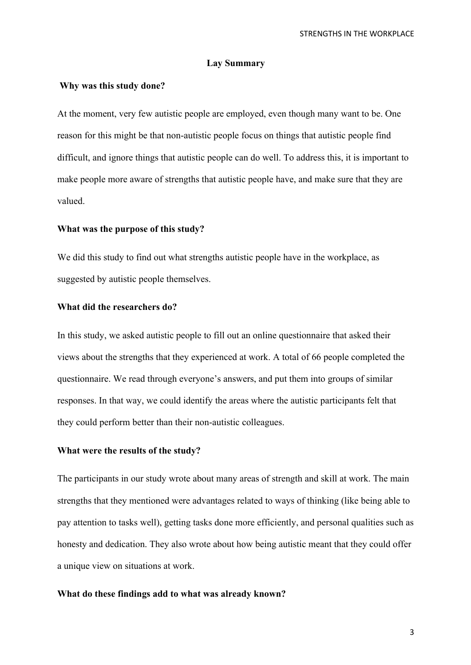#### **Lay Summary**

## **Why was this study done?**

At the moment, very few autistic people are employed, even though many want to be. One reason for this might be that non-autistic people focus on things that autistic people find difficult, and ignore things that autistic people can do well. To address this, it is important to make people more aware of strengths that autistic people have, and make sure that they are valued.

## **What was the purpose of this study?**

We did this study to find out what strengths autistic people have in the workplace, as suggested by autistic people themselves.

### **What did the researchers do?**

In this study, we asked autistic people to fill out an online questionnaire that asked their views about the strengths that they experienced at work. A total of 66 people completed the questionnaire. We read through everyone's answers, and put them into groups of similar responses. In that way, we could identify the areas where the autistic participants felt that they could perform better than their non-autistic colleagues.

#### **What were the results of the study?**

The participants in our study wrote about many areas of strength and skill at work. The main strengths that they mentioned were advantages related to ways of thinking (like being able to pay attention to tasks well), getting tasks done more efficiently, and personal qualities such as honesty and dedication. They also wrote about how being autistic meant that they could offer a unique view on situations at work.

### **What do these findings add to what was already known?**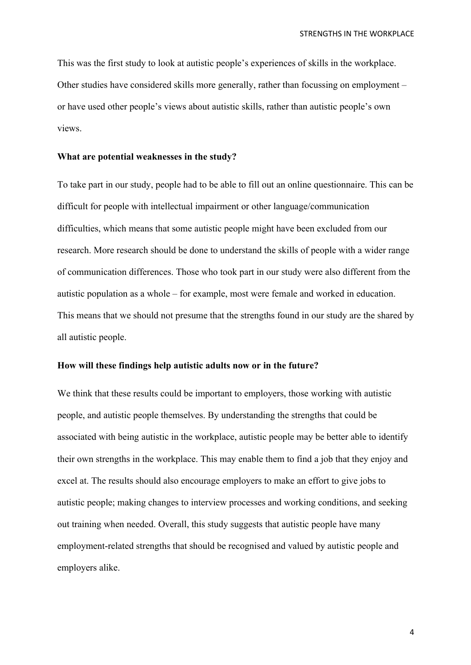This was the first study to look at autistic people's experiences of skills in the workplace. Other studies have considered skills more generally, rather than focussing on employment – or have used other people's views about autistic skills, rather than autistic people's own views.

#### **What are potential weaknesses in the study?**

To take part in our study, people had to be able to fill out an online questionnaire. This can be difficult for people with intellectual impairment or other language/communication difficulties, which means that some autistic people might have been excluded from our research. More research should be done to understand the skills of people with a wider range of communication differences. Those who took part in our study were also different from the autistic population as a whole – for example, most were female and worked in education. This means that we should not presume that the strengths found in our study are the shared by all autistic people.

#### **How will these findings help autistic adults now or in the future?**

We think that these results could be important to employers, those working with autistic people, and autistic people themselves. By understanding the strengths that could be associated with being autistic in the workplace, autistic people may be better able to identify their own strengths in the workplace. This may enable them to find a job that they enjoy and excel at. The results should also encourage employers to make an effort to give jobs to autistic people; making changes to interview processes and working conditions, and seeking out training when needed. Overall, this study suggests that autistic people have many employment-related strengths that should be recognised and valued by autistic people and employers alike.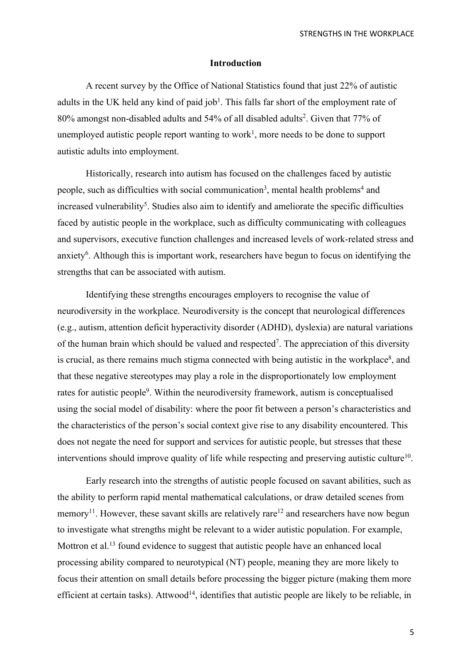STRENGTHS IN THE WORKPLACE

#### **Introduction**

A recent survey by the Office of National Statistics found that just 22% of autistic adults in the UK held any kind of paid job<sup>1</sup>. This falls far short of the employment rate of 80% amongst non-disabled adults and 54% of all disabled adults<sup>2</sup>. Given that 77% of unemployed autistic people report wanting to work<sup>1</sup>, more needs to be done to support autistic adults into employment.

Historically, research into autism has focused on the challenges faced by autistic people, such as difficulties with social communication<sup>3</sup>, mental health problems<sup>4</sup> and increased vulnerability<sup>5</sup>. Studies also aim to identify and ameliorate the specific difficulties faced by autistic people in the workplace, such as difficulty communicating with colleagues and supervisors, executive function challenges and increased levels of work-related stress and anxiety<sup>6</sup>. Although this is important work, researchers have begun to focus on identifying the strengths that can be associated with autism.

Identifying these strengths encourages employers to recognise the value of neurodiversity in the workplace. Neurodiversity is the concept that neurological differences (e.g., autism, attention deficit hyperactivity disorder (ADHD), dyslexia) are natural variations of the human brain which should be valued and respected<sup>7</sup>. The appreciation of this diversity is crucial, as there remains much stigma connected with being autistic in the workplace<sup>8</sup>, and that these negative stereotypes may play a role in the disproportionately low employment rates for autistic people<sup>9</sup>. Within the neurodiversity framework, autism is conceptualised using the social model of disability: where the poor fit between a person's characteristics and the characteristics of the person's social context give rise to any disability encountered. This does not negate the need for support and services for autistic people, but stresses that these interventions should improve quality of life while respecting and preserving autistic culture<sup>10</sup>.

Early research into the strengths of autistic people focused on savant abilities, such as the ability to perform rapid mental mathematical calculations, or draw detailed scenes from memory<sup>11</sup>. However, these savant skills are relatively rare<sup>12</sup> and researchers have now begun to investigate what strengths might be relevant to a wider autistic population. For example, Mottron et al.<sup>13</sup> found evidence to suggest that autistic people have an enhanced local processing ability compared to neurotypical (NT) people, meaning they are more likely to focus their attention on small details before processing the bigger picture (making them more efficient at certain tasks). Attwood<sup>14</sup>, identifies that autistic people are likely to be reliable, in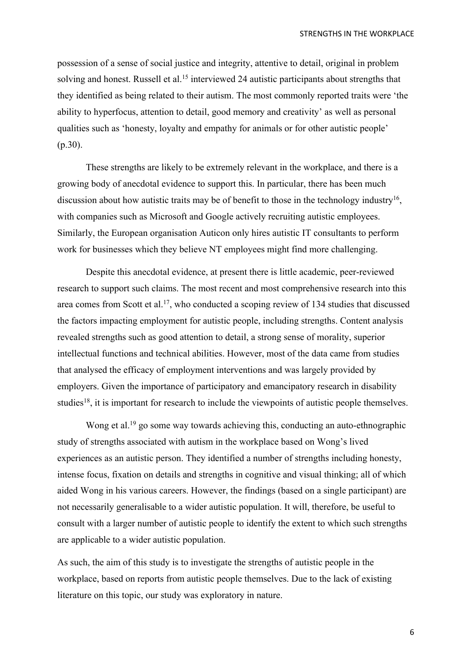possession of a sense of social justice and integrity, attentive to detail, original in problem solving and honest. Russell et al.<sup>15</sup> interviewed 24 autistic participants about strengths that they identified as being related to their autism. The most commonly reported traits were 'the ability to hyperfocus, attention to detail, good memory and creativity' as well as personal qualities such as 'honesty, loyalty and empathy for animals or for other autistic people' (p.30).

These strengths are likely to be extremely relevant in the workplace, and there is a growing body of anecdotal evidence to support this. In particular, there has been much discussion about how autistic traits may be of benefit to those in the technology industry<sup>16</sup>, with companies such as Microsoft and Google actively recruiting autistic employees. Similarly, the European organisation Auticon only hires autistic IT consultants to perform work for businesses which they believe NT employees might find more challenging.

Despite this anecdotal evidence, at present there is little academic, peer-reviewed research to support such claims. The most recent and most comprehensive research into this area comes from Scott et al.<sup>17</sup>, who conducted a scoping review of 134 studies that discussed the factors impacting employment for autistic people, including strengths. Content analysis revealed strengths such as good attention to detail, a strong sense of morality, superior intellectual functions and technical abilities. However, most of the data came from studies that analysed the efficacy of employment interventions and was largely provided by employers. Given the importance of participatory and emancipatory research in disability studies<sup>18</sup>, it is important for research to include the viewpoints of autistic people themselves.

Wong et al.<sup>19</sup> go some way towards achieving this, conducting an auto-ethnographic study of strengths associated with autism in the workplace based on Wong's lived experiences as an autistic person. They identified a number of strengths including honesty, intense focus, fixation on details and strengths in cognitive and visual thinking; all of which aided Wong in his various careers. However, the findings (based on a single participant) are not necessarily generalisable to a wider autistic population. It will, therefore, be useful to consult with a larger number of autistic people to identify the extent to which such strengths are applicable to a wider autistic population.

As such, the aim of this study is to investigate the strengths of autistic people in the workplace, based on reports from autistic people themselves. Due to the lack of existing literature on this topic, our study was exploratory in nature.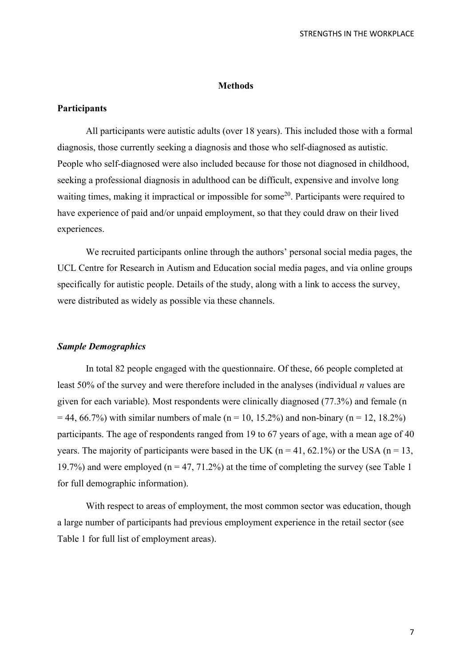#### **Methods**

## **Participants**

All participants were autistic adults (over 18 years). This included those with a formal diagnosis, those currently seeking a diagnosis and those who self-diagnosed as autistic. People who self-diagnosed were also included because for those not diagnosed in childhood, seeking a professional diagnosis in adulthood can be difficult, expensive and involve long waiting times, making it impractical or impossible for some<sup>20</sup>. Participants were required to have experience of paid and/or unpaid employment, so that they could draw on their lived experiences.

We recruited participants online through the authors' personal social media pages, the UCL Centre for Research in Autism and Education social media pages, and via online groups specifically for autistic people. Details of the study, along with a link to access the survey, were distributed as widely as possible via these channels.

#### *Sample Demographics*

In total 82 people engaged with the questionnaire. Of these, 66 people completed at least 50% of the survey and were therefore included in the analyses (individual *n* values are given for each variable). Most respondents were clinically diagnosed (77.3%) and female (n  $= 44, 66.7\%$ ) with similar numbers of male (n = 10, 15.2%) and non-binary (n = 12, 18.2%) participants. The age of respondents ranged from 19 to 67 years of age, with a mean age of 40 years. The majority of participants were based in the UK ( $n = 41, 62.1\%$ ) or the USA ( $n = 13$ , 19.7%) and were employed ( $n = 47, 71.2%$ ) at the time of completing the survey (see Table 1 for full demographic information).

With respect to areas of employment, the most common sector was education, though a large number of participants had previous employment experience in the retail sector (see Table 1 for full list of employment areas).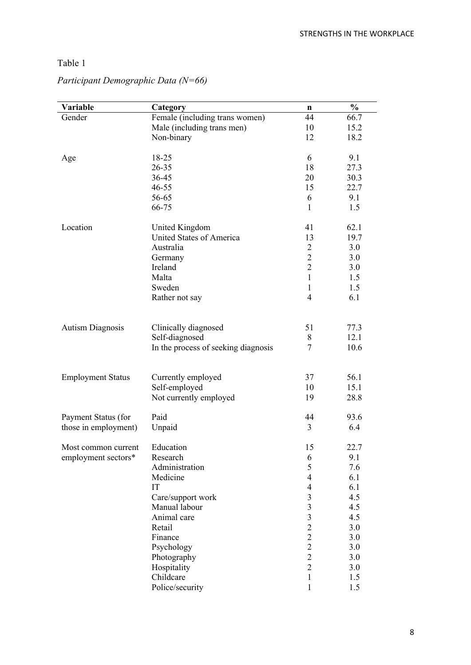## Table 1

| Variable                 | Category                            | n                        | $\frac{1}{2}$ |
|--------------------------|-------------------------------------|--------------------------|---------------|
| Gender                   | Female (including trans women)      | 44                       | 66.7          |
|                          | Male (including trans men)          | 10                       | 15.2          |
|                          | Non-binary                          | 12                       | 18.2          |
|                          |                                     |                          |               |
| Age                      | 18-25                               | 6                        | 9.1           |
|                          | $26 - 35$                           | 18                       | 27.3          |
|                          | 36-45                               | 20                       | 30.3          |
|                          | $46 - 55$                           | 15                       | 22.7          |
|                          | 56-65                               | 6                        | 9.1           |
|                          | 66-75                               | 1                        | 1.5           |
|                          |                                     |                          |               |
| Location                 | United Kingdom                      | 41                       | 62.1          |
|                          | United States of America            | 13                       | 19.7          |
|                          | Australia                           | $\overline{2}$           | 3.0           |
|                          | Germany                             | $\mathbf{2}$             | 3.0           |
|                          | Ireland                             | $\overline{2}$           | 3.0           |
|                          | Malta                               | $\mathbf{1}$             | 1.5           |
|                          | Sweden                              | $\mathbf{1}$             | 1.5           |
|                          | Rather not say                      | $\overline{4}$           | 6.1           |
|                          |                                     |                          |               |
|                          |                                     |                          |               |
| <b>Autism Diagnosis</b>  | Clinically diagnosed                | 51                       | 77.3<br>12.1  |
|                          | Self-diagnosed                      | 8<br>7                   | 10.6          |
|                          | In the process of seeking diagnosis |                          |               |
|                          |                                     | 37                       | 56.1          |
| <b>Employment Status</b> | Currently employed                  |                          |               |
|                          | Self-employed                       | 10                       | 15.1          |
|                          | Not currently employed              | 19                       | 28.8          |
| Payment Status (for      | Paid                                | 44                       | 93.6          |
| those in employment)     | Unpaid                              | 3                        | 6.4           |
|                          |                                     |                          |               |
| Most common current      | Education                           | 15                       | 22.7          |
| employment sectors*      | Research                            | 6                        | 9.1           |
|                          | Administration                      | 5                        | 7.6           |
|                          | Medicine                            | 4                        | 6.1           |
|                          | IT                                  | $\overline{\mathcal{A}}$ | 6.1           |
|                          | Care/support work                   | 3                        | 4.5           |
|                          | Manual labour                       | $\overline{\mathbf{3}}$  | 4.5           |
|                          | Animal care                         | $\overline{\mathbf{3}}$  | 4.5           |
|                          | Retail                              | $\overline{c}$           | 3.0           |
|                          | Finance                             | $\overline{2}$           | 3.0           |
|                          | Psychology                          | $\overline{2}$           | 3.0           |
|                          | Photography                         | $\overline{2}$           | 3.0           |
|                          | Hospitality                         | $\overline{2}$           | 3.0           |
|                          | Childcare                           | $\mathbf{1}$             | 1.5           |
|                          | Police/security                     | $\mathbf{1}$             | 1.5           |

# *Participant Demographic Data (N=66)*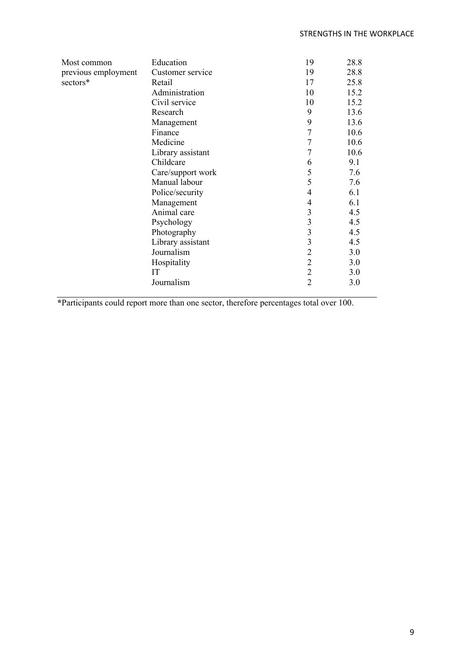| Most common         | Education         | 19             | 28.8 |
|---------------------|-------------------|----------------|------|
| previous employment | Customer service  | 19             | 28.8 |
| sectors*            | Retail            | 17             | 25.8 |
|                     | Administration    | 10             | 15.2 |
|                     | Civil service     | 10             | 15.2 |
|                     | Research          | 9              | 13.6 |
|                     | Management        | 9              | 13.6 |
|                     | Finance           | 7              | 10.6 |
|                     | Medicine          | 7              | 10.6 |
|                     | Library assistant | 7              | 10.6 |
|                     | Childcare         | 6              | 9.1  |
|                     | Care/support work | 5              | 7.6  |
|                     | Manual labour     | 5              | 7.6  |
|                     | Police/security   | 4              | 6.1  |
|                     | Management        | 4              | 6.1  |
|                     | Animal care       | $\mathfrak{Z}$ | 4.5  |
|                     | Psychology        | 3              | 4.5  |
|                     | Photography       | 3              | 4.5  |
|                     | Library assistant | 3              | 4.5  |
|                     | Journalism        | $\overline{2}$ | 3.0  |
|                     | Hospitality       | $\overline{2}$ | 3.0  |
|                     | IT                | $\overline{2}$ | 3.0  |
|                     | Journalism        | 2              | 3.0  |

**\***Participants could report more than one sector, therefore percentages total over 100.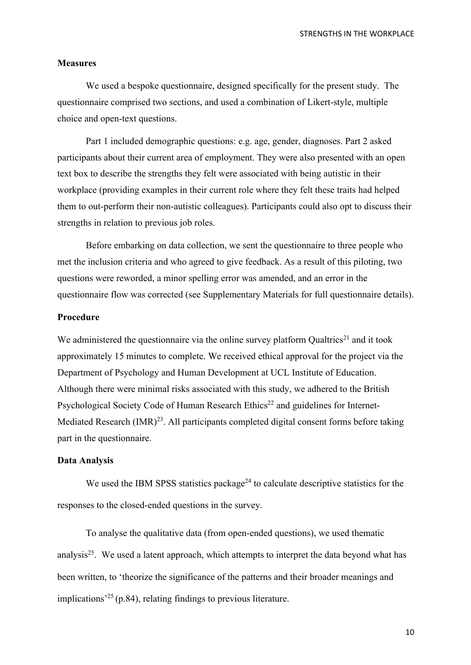STRENGTHS IN THE WORKPLACE

#### **Measures**

We used a bespoke questionnaire, designed specifically for the present study. The questionnaire comprised two sections, and used a combination of Likert-style, multiple choice and open-text questions.

Part 1 included demographic questions: e.g. age, gender, diagnoses. Part 2 asked participants about their current area of employment. They were also presented with an open text box to describe the strengths they felt were associated with being autistic in their workplace (providing examples in their current role where they felt these traits had helped them to out-perform their non-autistic colleagues). Participants could also opt to discuss their strengths in relation to previous job roles.

Before embarking on data collection, we sent the questionnaire to three people who met the inclusion criteria and who agreed to give feedback. As a result of this piloting, two questions were reworded, a minor spelling error was amended, and an error in the questionnaire flow was corrected (see Supplementary Materials for full questionnaire details).

#### **Procedure**

We administered the questionnaire via the online survey platform Qualtrics<sup>21</sup> and it took approximately 15 minutes to complete. We received ethical approval for the project via the Department of Psychology and Human Development at UCL Institute of Education. Although there were minimal risks associated with this study, we adhered to the British Psychological Society Code of Human Research Ethics<sup>22</sup> and guidelines for Internet-Mediated Research  $(IMR)^{23}$ . All participants completed digital consent forms before taking part in the questionnaire.

#### **Data Analysis**

We used the IBM SPSS statistics package<sup>24</sup> to calculate descriptive statistics for the responses to the closed-ended questions in the survey.

To analyse the qualitative data (from open-ended questions), we used thematic analysis<sup>25</sup>. We used a latent approach, which attempts to interpret the data beyond what has been written, to 'theorize the significance of the patterns and their broader meanings and implications<sup> $25$ </sup> (p.84), relating findings to previous literature.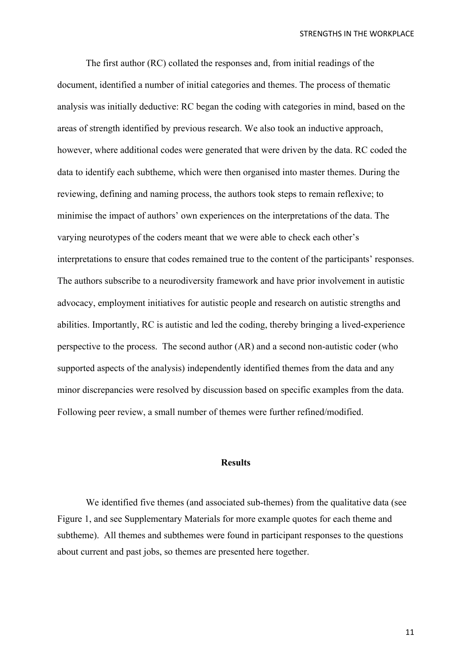STRENGTHS IN THE WORKPLACE

The first author (RC) collated the responses and, from initial readings of the document, identified a number of initial categories and themes. The process of thematic analysis was initially deductive: RC began the coding with categories in mind, based on the areas of strength identified by previous research. We also took an inductive approach, however, where additional codes were generated that were driven by the data. RC coded the data to identify each subtheme, which were then organised into master themes. During the reviewing, defining and naming process, the authors took steps to remain reflexive; to minimise the impact of authors' own experiences on the interpretations of the data. The varying neurotypes of the coders meant that we were able to check each other's interpretations to ensure that codes remained true to the content of the participants' responses. The authors subscribe to a neurodiversity framework and have prior involvement in autistic advocacy, employment initiatives for autistic people and research on autistic strengths and abilities. Importantly, RC is autistic and led the coding, thereby bringing a lived-experience perspective to the process. The second author (AR) and a second non-autistic coder (who supported aspects of the analysis) independently identified themes from the data and any minor discrepancies were resolved by discussion based on specific examples from the data. Following peer review, a small number of themes were further refined/modified.

### **Results**

We identified five themes (and associated sub-themes) from the qualitative data (see Figure 1, and see Supplementary Materials for more example quotes for each theme and subtheme). All themes and subthemes were found in participant responses to the questions about current and past jobs, so themes are presented here together.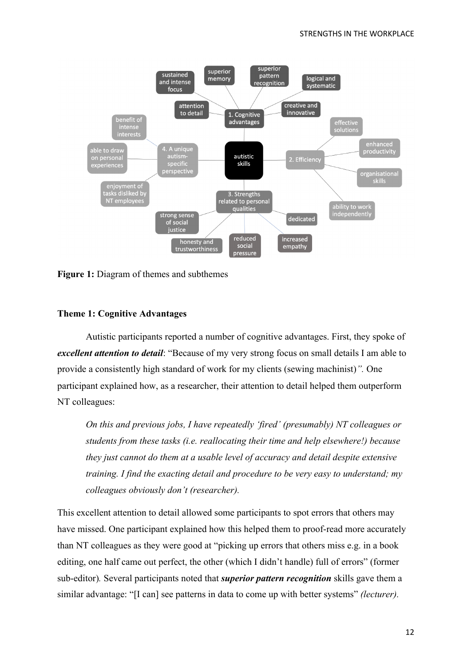

**Figure 1:** Diagram of themes and subthemes

## **Theme 1: Cognitive Advantages**

Autistic participants reported a number of cognitive advantages. First, they spoke of *excellent attention to detail*: "Because of my very strong focus on small details I am able to provide a consistently high standard of work for my clients (sewing machinist)*".* One participant explained how, as a researcher, their attention to detail helped them outperform NT colleagues:

*On this and previous jobs, I have repeatedly 'fired' (presumably) NT colleagues or students from these tasks (i.e. reallocating their time and help elsewhere!) because they just cannot do them at a usable level of accuracy and detail despite extensive training. I find the exacting detail and procedure to be very easy to understand; my colleagues obviously don't (researcher).*

This excellent attention to detail allowed some participants to spot errors that others may have missed. One participant explained how this helped them to proof-read more accurately than NT colleagues as they were good at "picking up errors that others miss e.g. in a book editing, one half came out perfect, the other (which I didn't handle) full of errors" (former sub-editor)*.* Several participants noted that *superior pattern recognition* skills gave them a similar advantage: "[I can] see patterns in data to come up with better systems" *(lecturer).*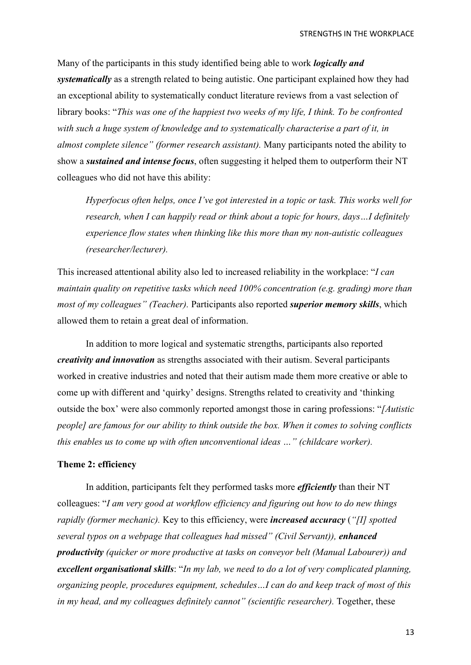Many of the participants in this study identified being able to work *logically and systematically* as a strength related to being autistic. One participant explained how they had an exceptional ability to systematically conduct literature reviews from a vast selection of library books: "*This was one of the happiest two weeks of my life, I think. To be confronted with such a huge system of knowledge and to systematically characterise a part of it, in almost complete silence" (former research assistant).* Many participants noted the ability to show a *sustained and intense focus*, often suggesting it helped them to outperform their NT colleagues who did not have this ability:

*Hyperfocus often helps, once I've got interested in a topic or task. This works well for research, when I can happily read or think about a topic for hours, days…I definitely experience flow states when thinking like this more than my non-autistic colleagues (researcher/lecturer).*

This increased attentional ability also led to increased reliability in the workplace: "*I can maintain quality on repetitive tasks which need 100% concentration (e.g. grading) more than most of my colleagues" (Teacher).* Participants also reported *superior memory skills*, which allowed them to retain a great deal of information.

In addition to more logical and systematic strengths, participants also reported *creativity and innovation* as strengths associated with their autism. Several participants worked in creative industries and noted that their autism made them more creative or able to come up with different and 'quirky' designs. Strengths related to creativity and 'thinking outside the box' were also commonly reported amongst those in caring professions: "*[Autistic people] are famous for our ability to think outside the box. When it comes to solving conflicts this enables us to come up with often unconventional ideas …" (childcare worker).*

#### **Theme 2: efficiency**

In addition, participants felt they performed tasks more *efficiently* than their NT colleagues: "*I am very good at workflow efficiency and figuring out how to do new things rapidly (former mechanic).* Key to this efficiency, were *increased accuracy* (*"[I] spotted several typos on a webpage that colleagues had missed" (Civil Servant)), enhanced productivity (quicker or more productive at tasks on conveyor belt (Manual Labourer)) and excellent organisational skills*: "*In my lab, we need to do a lot of very complicated planning, organizing people, procedures equipment, schedules…I can do and keep track of most of this in my head, and my colleagues definitely cannot" (scientific researcher).* Together, these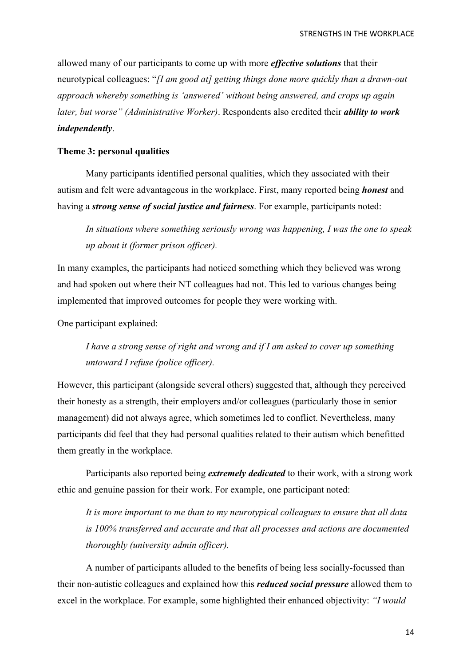allowed many of our participants to come up with more *effective solutions* that their neurotypical colleagues: "*[I am good at] getting things done more quickly than a drawn-out approach whereby something is 'answered' without being answered, and crops up again later, but worse" (Administrative Worker)*. Respondents also credited their *ability to work independently*.

## **Theme 3: personal qualities**

Many participants identified personal qualities, which they associated with their autism and felt were advantageous in the workplace. First, many reported being *honest* and having a *strong sense of social justice and fairness*. For example, participants noted:

*In situations where something seriously wrong was happening, I was the one to speak up about it (former prison officer).*

In many examples, the participants had noticed something which they believed was wrong and had spoken out where their NT colleagues had not. This led to various changes being implemented that improved outcomes for people they were working with.

One participant explained:

*I have a strong sense of right and wrong and if I am asked to cover up something untoward I refuse (police officer).*

However, this participant (alongside several others) suggested that, although they perceived their honesty as a strength, their employers and/or colleagues (particularly those in senior management) did not always agree, which sometimes led to conflict. Nevertheless, many participants did feel that they had personal qualities related to their autism which benefitted them greatly in the workplace.

Participants also reported being *extremely dedicated* to their work, with a strong work ethic and genuine passion for their work. For example, one participant noted:

*It is more important to me than to my neurotypical colleagues to ensure that all data is 100% transferred and accurate and that all processes and actions are documented thoroughly (university admin officer).*

A number of participants alluded to the benefits of being less socially-focussed than their non-autistic colleagues and explained how this *reduced social pressure* allowed them to excel in the workplace. For example, some highlighted their enhanced objectivity: *"I would*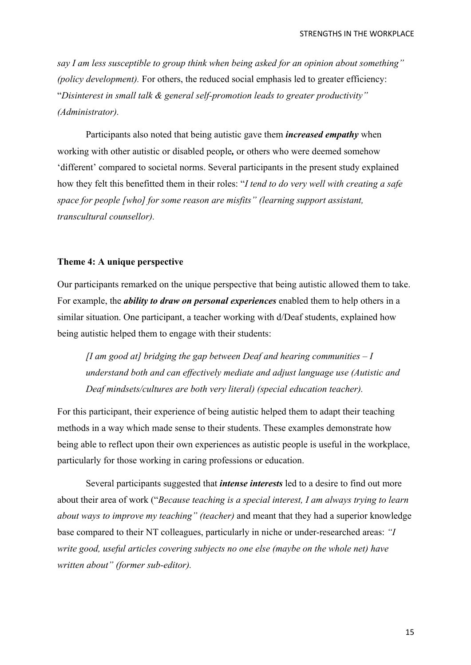*say I am less susceptible to group think when being asked for an opinion about something" (policy development)*. For others, the reduced social emphasis led to greater efficiency: "*Disinterest in small talk & general self-promotion leads to greater productivity" (Administrator).*

Participants also noted that being autistic gave them *increased empathy* when working with other autistic or disabled people*,* or others who were deemed somehow 'different' compared to societal norms. Several participants in the present study explained how they felt this benefitted them in their roles: "*I tend to do very well with creating a safe space for people [who] for some reason are misfits" (learning support assistant, transcultural counsellor).*

### **Theme 4: A unique perspective**

Our participants remarked on the unique perspective that being autistic allowed them to take. For example, the *ability to draw on personal experiences* enabled them to help others in a similar situation. One participant, a teacher working with d/Deaf students, explained how being autistic helped them to engage with their students:

*[I am good at] bridging the gap between Deaf and hearing communities – I understand both and can effectively mediate and adjust language use (Autistic and Deaf mindsets/cultures are both very literal) (special education teacher).*

For this participant, their experience of being autistic helped them to adapt their teaching methods in a way which made sense to their students. These examples demonstrate how being able to reflect upon their own experiences as autistic people is useful in the workplace, particularly for those working in caring professions or education.

Several participants suggested that *intense interests* led to a desire to find out more about their area of work ("*Because teaching is a special interest, I am always trying to learn about ways to improve my teaching" (teacher)* and meant that they had a superior knowledge base compared to their NT colleagues, particularly in niche or under-researched areas: *"I write good, useful articles covering subjects no one else (maybe on the whole net) have written about" (former sub-editor).*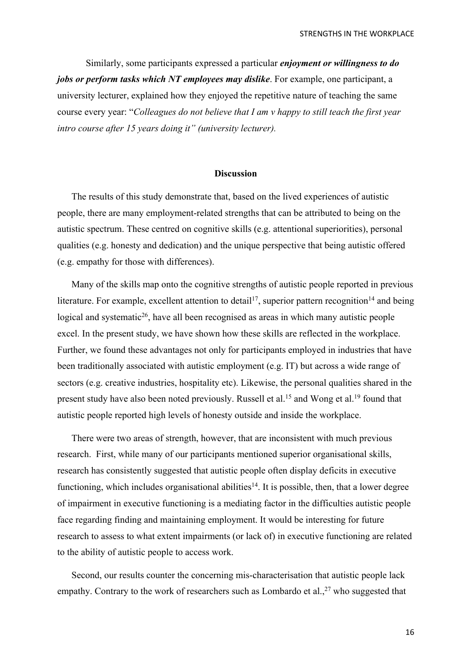Similarly, some participants expressed a particular *enjoyment or willingness to do jobs or perform tasks which NT employees may dislike*. For example, one participant, a university lecturer, explained how they enjoyed the repetitive nature of teaching the same course every year: "*Colleagues do not believe that I am v happy to still teach the first year intro course after 15 years doing it" (university lecturer).*

#### **Discussion**

The results of this study demonstrate that, based on the lived experiences of autistic people, there are many employment-related strengths that can be attributed to being on the autistic spectrum. These centred on cognitive skills (e.g. attentional superiorities), personal qualities (e.g. honesty and dedication) and the unique perspective that being autistic offered (e.g. empathy for those with differences).

Many of the skills map onto the cognitive strengths of autistic people reported in previous literature. For example, excellent attention to detail<sup>17</sup>, superior pattern recognition<sup>14</sup> and being logical and systematic<sup>26</sup>, have all been recognised as areas in which many autistic people excel. In the present study, we have shown how these skills are reflected in the workplace. Further, we found these advantages not only for participants employed in industries that have been traditionally associated with autistic employment (e.g. IT) but across a wide range of sectors (e.g. creative industries, hospitality etc). Likewise, the personal qualities shared in the present study have also been noted previously. Russell et al.<sup>15</sup> and Wong et al.<sup>19</sup> found that autistic people reported high levels of honesty outside and inside the workplace.

There were two areas of strength, however, that are inconsistent with much previous research. First, while many of our participants mentioned superior organisational skills, research has consistently suggested that autistic people often display deficits in executive functioning, which includes organisational abilities<sup>14</sup>. It is possible, then, that a lower degree of impairment in executive functioning is a mediating factor in the difficulties autistic people face regarding finding and maintaining employment. It would be interesting for future research to assess to what extent impairments (or lack of) in executive functioning are related to the ability of autistic people to access work.

Second, our results counter the concerning mis-characterisation that autistic people lack empathy. Contrary to the work of researchers such as Lombardo et al., $^{27}$  who suggested that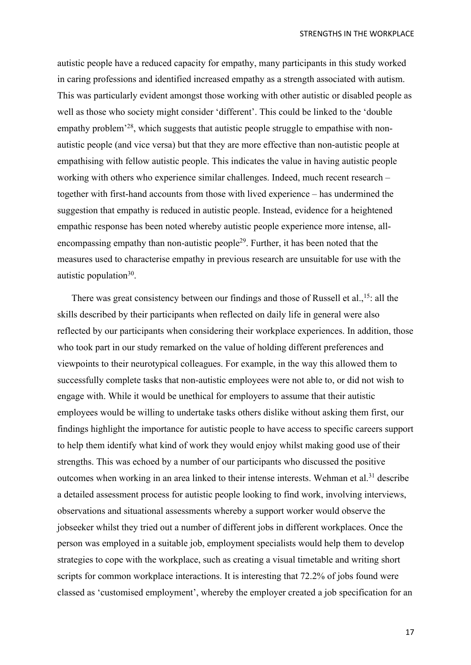autistic people have a reduced capacity for empathy, many participants in this study worked in caring professions and identified increased empathy as a strength associated with autism. This was particularly evident amongst those working with other autistic or disabled people as well as those who society might consider 'different'. This could be linked to the 'double empathy problem<sup>'28</sup>, which suggests that autistic people struggle to empathise with nonautistic people (and vice versa) but that they are more effective than non-autistic people at empathising with fellow autistic people. This indicates the value in having autistic people working with others who experience similar challenges. Indeed, much recent research – together with first-hand accounts from those with lived experience – has undermined the suggestion that empathy is reduced in autistic people. Instead, evidence for a heightened empathic response has been noted whereby autistic people experience more intense, allencompassing empathy than non-autistic people<sup>29</sup>. Further, it has been noted that the measures used to characterise empathy in previous research are unsuitable for use with the autistic population $30$ .

There was great consistency between our findings and those of Russell et al., <sup>15</sup>: all the skills described by their participants when reflected on daily life in general were also reflected by our participants when considering their workplace experiences. In addition, those who took part in our study remarked on the value of holding different preferences and viewpoints to their neurotypical colleagues. For example, in the way this allowed them to successfully complete tasks that non-autistic employees were not able to, or did not wish to engage with. While it would be unethical for employers to assume that their autistic employees would be willing to undertake tasks others dislike without asking them first, our findings highlight the importance for autistic people to have access to specific careers support to help them identify what kind of work they would enjoy whilst making good use of their strengths. This was echoed by a number of our participants who discussed the positive outcomes when working in an area linked to their intense interests. Wehman et al.<sup>31</sup> describe a detailed assessment process for autistic people looking to find work, involving interviews, observations and situational assessments whereby a support worker would observe the jobseeker whilst they tried out a number of different jobs in different workplaces. Once the person was employed in a suitable job, employment specialists would help them to develop strategies to cope with the workplace, such as creating a visual timetable and writing short scripts for common workplace interactions. It is interesting that 72.2% of jobs found were classed as 'customised employment', whereby the employer created a job specification for an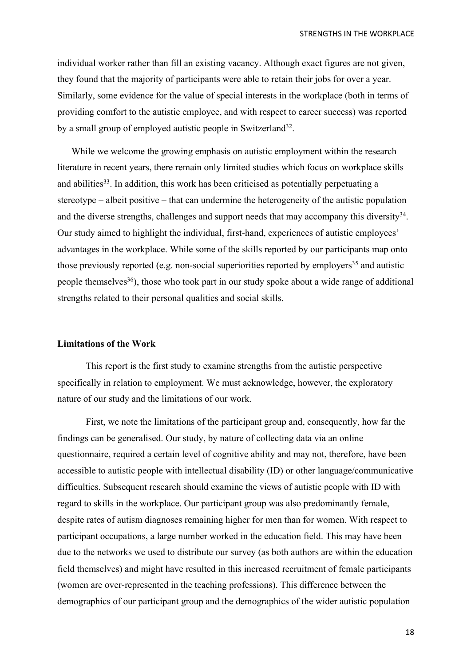individual worker rather than fill an existing vacancy. Although exact figures are not given, they found that the majority of participants were able to retain their jobs for over a year. Similarly, some evidence for the value of special interests in the workplace (both in terms of providing comfort to the autistic employee, and with respect to career success) was reported by a small group of employed autistic people in Switzerland<sup>32</sup>.

While we welcome the growing emphasis on autistic employment within the research literature in recent years, there remain only limited studies which focus on workplace skills and abilities<sup>33</sup>. In addition, this work has been criticised as potentially perpetuating a stereotype – albeit positive – that can undermine the heterogeneity of the autistic population and the diverse strengths, challenges and support needs that may accompany this diversity $34$ . Our study aimed to highlight the individual, first-hand, experiences of autistic employees' advantages in the workplace. While some of the skills reported by our participants map onto those previously reported (e.g. non-social superiorities reported by employers<sup>35</sup> and autistic people themselves<sup>36</sup>), those who took part in our study spoke about a wide range of additional strengths related to their personal qualities and social skills.

#### **Limitations of the Work**

This report is the first study to examine strengths from the autistic perspective specifically in relation to employment. We must acknowledge, however, the exploratory nature of our study and the limitations of our work.

First, we note the limitations of the participant group and, consequently, how far the findings can be generalised. Our study, by nature of collecting data via an online questionnaire, required a certain level of cognitive ability and may not, therefore, have been accessible to autistic people with intellectual disability (ID) or other language/communicative difficulties. Subsequent research should examine the views of autistic people with ID with regard to skills in the workplace. Our participant group was also predominantly female, despite rates of autism diagnoses remaining higher for men than for women. With respect to participant occupations, a large number worked in the education field. This may have been due to the networks we used to distribute our survey (as both authors are within the education field themselves) and might have resulted in this increased recruitment of female participants (women are over-represented in the teaching professions). This difference between the demographics of our participant group and the demographics of the wider autistic population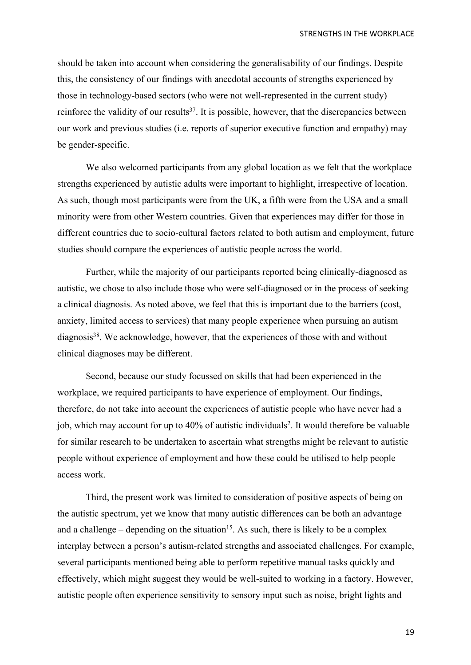should be taken into account when considering the generalisability of our findings. Despite this, the consistency of our findings with anecdotal accounts of strengths experienced by those in technology-based sectors (who were not well-represented in the current study) reinforce the validity of our results<sup>37</sup>. It is possible, however, that the discrepancies between our work and previous studies (i.e. reports of superior executive function and empathy) may be gender-specific.

We also welcomed participants from any global location as we felt that the workplace strengths experienced by autistic adults were important to highlight, irrespective of location. As such, though most participants were from the UK, a fifth were from the USA and a small minority were from other Western countries. Given that experiences may differ for those in different countries due to socio-cultural factors related to both autism and employment, future studies should compare the experiences of autistic people across the world.

Further, while the majority of our participants reported being clinically-diagnosed as autistic, we chose to also include those who were self-diagnosed or in the process of seeking a clinical diagnosis. As noted above, we feel that this is important due to the barriers (cost, anxiety, limited access to services) that many people experience when pursuing an autism diagnosis<sup>38</sup>. We acknowledge, however, that the experiences of those with and without clinical diagnoses may be different.

Second, because our study focussed on skills that had been experienced in the workplace, we required participants to have experience of employment. Our findings, therefore, do not take into account the experiences of autistic people who have never had a job, which may account for up to 40% of autistic individuals<sup>2</sup>. It would therefore be valuable for similar research to be undertaken to ascertain what strengths might be relevant to autistic people without experience of employment and how these could be utilised to help people access work.

Third, the present work was limited to consideration of positive aspects of being on the autistic spectrum, yet we know that many autistic differences can be both an advantage and a challenge – depending on the situation<sup>15</sup>. As such, there is likely to be a complex interplay between a person's autism-related strengths and associated challenges. For example, several participants mentioned being able to perform repetitive manual tasks quickly and effectively, which might suggest they would be well-suited to working in a factory. However, autistic people often experience sensitivity to sensory input such as noise, bright lights and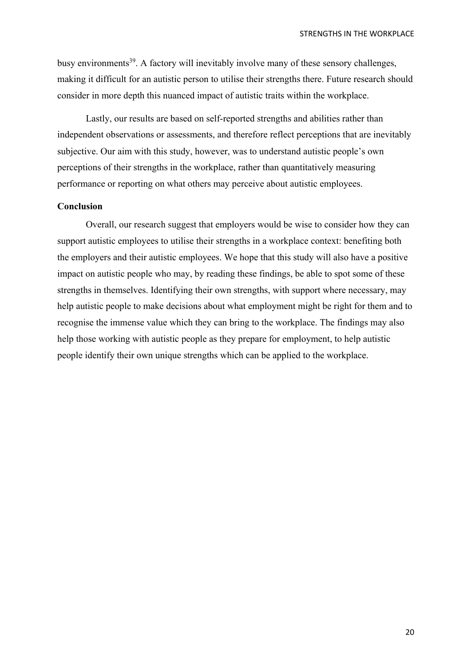busy environments<sup>39</sup>. A factory will inevitably involve many of these sensory challenges, making it difficult for an autistic person to utilise their strengths there. Future research should consider in more depth this nuanced impact of autistic traits within the workplace.

Lastly, our results are based on self-reported strengths and abilities rather than independent observations or assessments, and therefore reflect perceptions that are inevitably subjective. Our aim with this study, however, was to understand autistic people's own perceptions of their strengths in the workplace, rather than quantitatively measuring performance or reporting on what others may perceive about autistic employees.

## **Conclusion**

Overall, our research suggest that employers would be wise to consider how they can support autistic employees to utilise their strengths in a workplace context: benefiting both the employers and their autistic employees. We hope that this study will also have a positive impact on autistic people who may, by reading these findings, be able to spot some of these strengths in themselves. Identifying their own strengths, with support where necessary, may help autistic people to make decisions about what employment might be right for them and to recognise the immense value which they can bring to the workplace. The findings may also help those working with autistic people as they prepare for employment, to help autistic people identify their own unique strengths which can be applied to the workplace.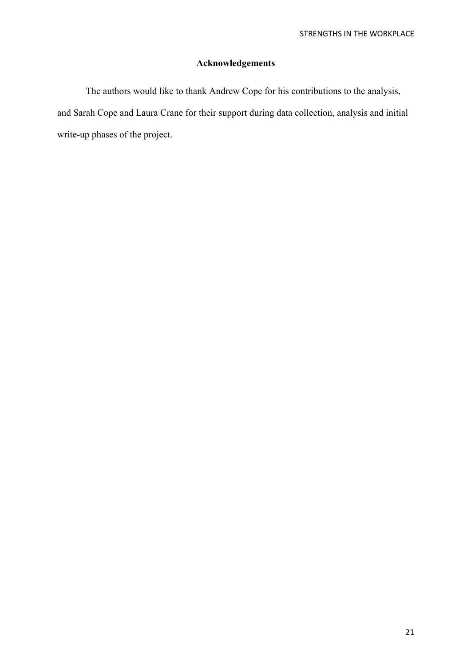## **Acknowledgements**

The authors would like to thank Andrew Cope for his contributions to the analysis, and Sarah Cope and Laura Crane for their support during data collection, analysis and initial write-up phases of the project.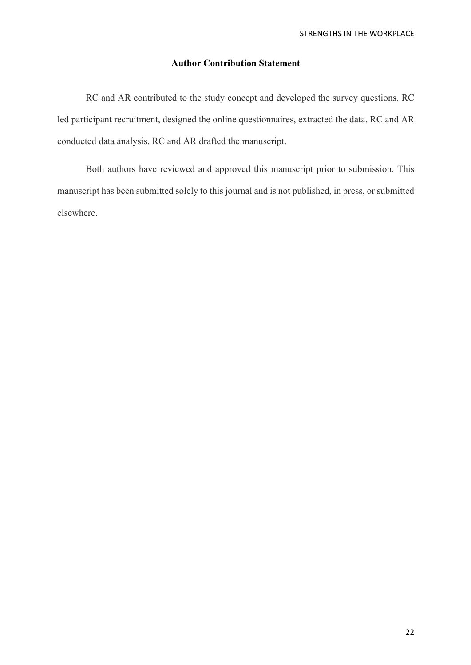## **Author Contribution Statement**

RC and AR contributed to the study concept and developed the survey questions. RC led participant recruitment, designed the online questionnaires, extracted the data. RC and AR conducted data analysis. RC and AR drafted the manuscript.

Both authors have reviewed and approved this manuscript prior to submission. This manuscript has been submitted solely to this journal and is not published, in press, or submitted elsewhere.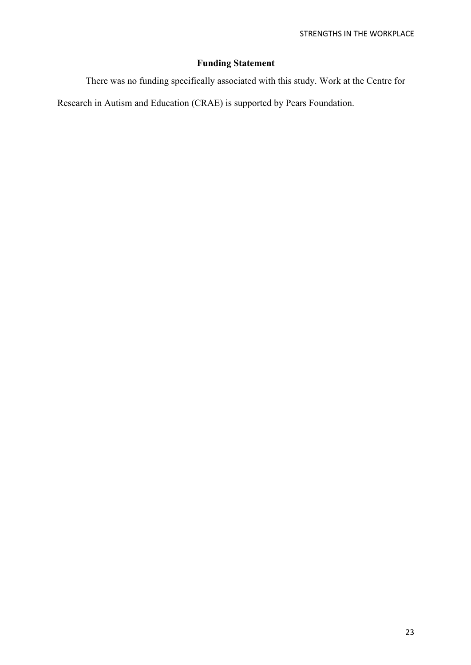## **Funding Statement**

There was no funding specifically associated with this study. Work at the Centre for

Research in Autism and Education (CRAE) is supported by Pears Foundation.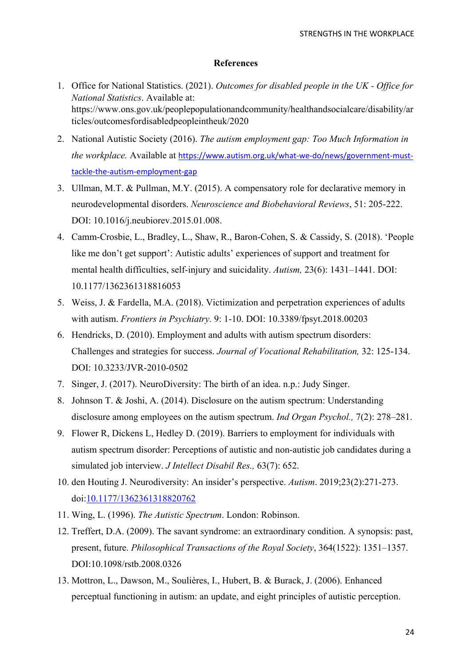#### **References**

- 1. Office for National Statistics. (2021). *Outcomes for disabled people in the UK - Office for National Statistics*. Available at: https://www.ons.gov.uk/peoplepopulationandcommunity/healthandsocialcare/disability/ar ticles/outcomesfordisabledpeopleintheuk/2020
- 2. National Autistic Society (2016). *The autism employment gap: Too Much Information in the workplace.* Available at https://www.autism.org.uk/what-we-do/news/government-musttackle-the-autism-employment-gap
- 3. Ullman, M.T. & Pullman, M.Y. (2015). A compensatory role for declarative memory in neurodevelopmental disorders. *Neuroscience and Biobehavioral Reviews*, 51: 205-222. DOI: 10.1016/j.neubiorev.2015.01.008.
- 4. Camm-Crosbie, L., Bradley, L., Shaw, R., Baron-Cohen, S. & Cassidy, S. (2018). 'People like me don't get support': Autistic adults' experiences of support and treatment for mental health difficulties, self-injury and suicidality. *Autism,* 23(6): 1431–1441. DOI: 10.1177/1362361318816053
- 5. Weiss, J. & Fardella, M.A. (2018). Victimization and perpetration experiences of adults with autism. *Frontiers in Psychiatry.* 9: 1-10. DOI: 10.3389/fpsyt.2018.00203
- 6. Hendricks, D. (2010). Employment and adults with autism spectrum disorders: Challenges and strategies for success. *Journal of Vocational Rehabilitation,* 32: 125-134. DOI: 10.3233/JVR-2010-0502
- 7. Singer, J. (2017). NeuroDiversity: The birth of an idea. n.p.: Judy Singer.
- 8. Johnson T. & Joshi, A. (2014). Disclosure on the autism spectrum: Understanding disclosure among employees on the autism spectrum. *Ind Organ Psychol.,* 7(2): 278–281.
- 9. Flower R, Dickens L, Hedley D. (2019). Barriers to employment for individuals with autism spectrum disorder: Perceptions of autistic and non-autistic job candidates during a simulated job interview. *J Intellect Disabil Res.,* 63(7): 652.
- 10. den Houting J. Neurodiversity: An insider's perspective. *Autism*. 2019;23(2):271-273. doi:10.1177/1362361318820762
- 11. Wing, L. (1996). *The Autistic Spectrum*. London: Robinson.
- 12. Treffert, D.A. (2009). The savant syndrome: an extraordinary condition. A synopsis: past, present, future. *Philosophical Transactions of the Royal Society*, 364(1522): 1351–1357. DOI:10.1098/rstb.2008.0326
- 13. Mottron, L., Dawson, M., Soulières, I., Hubert, B. & Burack, J. (2006). Enhanced perceptual functioning in autism: an update, and eight principles of autistic perception.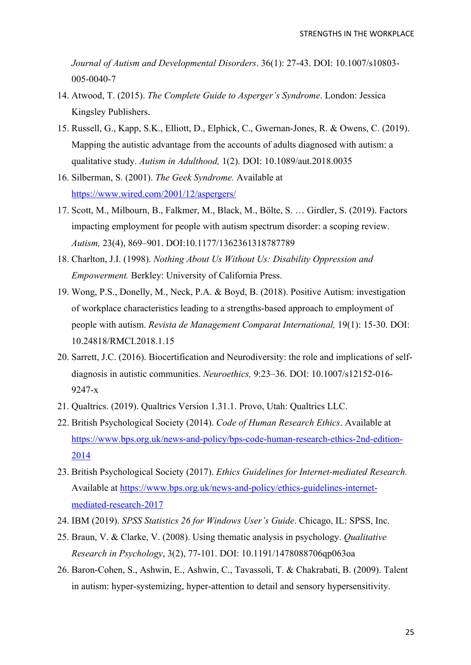*Journal of Autism and Developmental Disorders*. 36(1): 27-43. DOI: 10.1007/s10803- 005-0040-7

- 14. Atwood, T. (2015). *The Complete Guide to Asperger's Syndrome*. London: Jessica Kingsley Publishers.
- 15. Russell, G., Kapp, S.K., Elliott, D., Elphick, C., Gwernan-Jones, R. & Owens, C. (2019). Mapping the autistic advantage from the accounts of adults diagnosed with autism: a qualitative study. *Autism in Adulthood,* 1(2). DOI: 10.1089/aut.2018.0035
- 16. Silberman, S. (2001). *The Geek Syndrome.* Available at https://www.wired.com/2001/12/aspergers/
- 17. Scott, M., Milbourn, B., Falkmer, M., Black, M., Bӧlte, S. … Girdler, S. (2019). Factors impacting employment for people with autism spectrum disorder: a scoping review. *Autism,* 23(4), 869–901. DOI:10.1177/1362361318787789
- 18. Charlton, J.I. (1998). *Nothing About Us Without Us: Disability Oppression and Empowerment.* Berkley: University of California Press.
- 19. Wong, P.S., Donelly, M., Neck, P.A. & Boyd, B. (2018). Positive Autism: investigation of workplace characteristics leading to a strengths-based approach to employment of people with autism. *Revista de Management Comparat International,* 19(1): 15-30. DOI: 10.24818/RMCI.2018.1.15
- 20. Sarrett, J.C. (2016). Biocertification and Neurodiversity: the role and implications of selfdiagnosis in autistic communities. *Neuroethics,* 9:23–36. DOI: 10.1007/s12152-016- 9247-x
- 21. Qualtrics. (2019). Qualtrics Version 1.31.1. Provo, Utah: Qualtrics LLC.
- 22. British Psychological Society (2014). *Code of Human Research Ethics*. Available at https://www.bps.org.uk/news-and-policy/bps-code-human-research-ethics-2nd-edition-2014
- 23. British Psychological Society (2017). *Ethics Guidelines for Internet-mediated Research.* Available at https://www.bps.org.uk/news-and-policy/ethics-guidelines-internetmediated-research-2017
- 24. IBM (2019). *SPSS Statistics 26 for Windows User's Guide*. Chicago, IL: SPSS, Inc.
- 25. Braun, V. & Clarke, V. (2008). Using thematic analysis in psychology. *Qualitative Research in Psychology*, 3(2), 77-101. DOI: 10.1191/1478088706qp063oa
- 26. Baron-Cohen, S., Ashwin, E., Ashwin, C., Tavassoli, T. & Chakrabati, B. (2009). Talent in autism: hyper-systemizing, hyper-attention to detail and sensory hypersensitivity.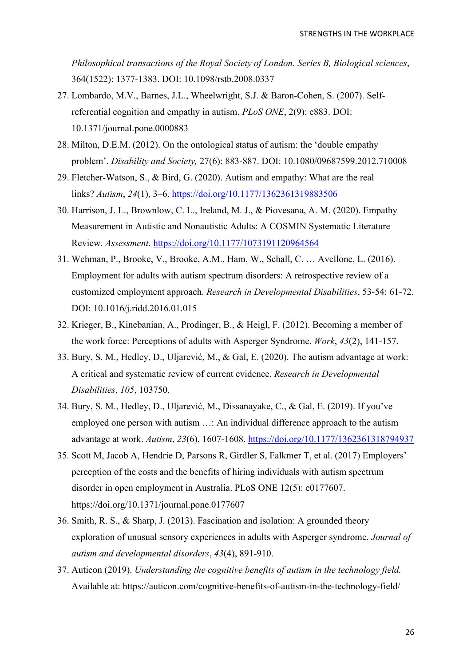*Philosophical transactions of the Royal Society of London. Series B, Biological sciences*, 364(1522): 1377-1383. DOI: 10.1098/rstb.2008.0337

- 27. Lombardo, M.V., Barnes, J.L., Wheelwright, S.J. & Baron-Cohen, S. (2007). Selfreferential cognition and empathy in autism. *PLoS ONE*, 2(9): e883. DOI: 10.1371/journal.pone.0000883
- 28. Milton, D.E.M. (2012). On the ontological status of autism: the 'double empathy problem'. *Disability and Society,* 27(6): 883-887. DOI: 10.1080/09687599.2012.710008
- 29. Fletcher-Watson, S., & Bird, G. (2020). Autism and empathy: What are the real links? *Autism*, *24*(1), 3–6. https://doi.org/10.1177/1362361319883506
- 30. Harrison, J. L., Brownlow, C. L., Ireland, M. J., & Piovesana, A. M. (2020). Empathy Measurement in Autistic and Nonautistic Adults: A COSMIN Systematic Literature Review. *Assessment*. https://doi.org/10.1177/1073191120964564
- 31. Wehman, P., Brooke, V., Brooke, A.M., Ham, W., Schall, C. … Avellone, L. (2016). Employment for adults with autism spectrum disorders: A retrospective review of a customized employment approach. *Research in Developmental Disabilities*, 53-54: 61-72. DOI: 10.1016/j.ridd.2016.01.015
- 32. Krieger, B., Kinebanian, A., Prodinger, B., & Heigl, F. (2012). Becoming a member of the work force: Perceptions of adults with Asperger Syndrome. *Work*, *43*(2), 141-157.
- 33. Bury, S. M., Hedley, D., Uljarević, M., & Gal, E. (2020). The autism advantage at work: A critical and systematic review of current evidence. *Research in Developmental Disabilities*, *105*, 103750.
- 34. Bury, S. M., Hedley, D., Uljarević, M., Dissanayake, C., & Gal, E. (2019). If you've employed one person with autism …: An individual difference approach to the autism advantage at work. *Autism*, *23*(6), 1607-1608. https://doi.org/10.1177/1362361318794937
- 35. Scott M, Jacob A, Hendrie D, Parsons R, Girdler S, Falkmer T, et al. (2017) Employers' perception of the costs and the benefits of hiring individuals with autism spectrum disorder in open employment in Australia. PLoS ONE 12(5): e0177607. https://doi.org/10.1371/journal.pone.0177607
- 36. Smith, R. S., & Sharp, J. (2013). Fascination and isolation: A grounded theory exploration of unusual sensory experiences in adults with Asperger syndrome. *Journal of autism and developmental disorders*, *43*(4), 891-910.
- 37. Auticon (2019). *Understanding the cognitive benefits of autism in the technology field.*  Available at: https://auticon.com/cognitive-benefits-of-autism-in-the-technology-field/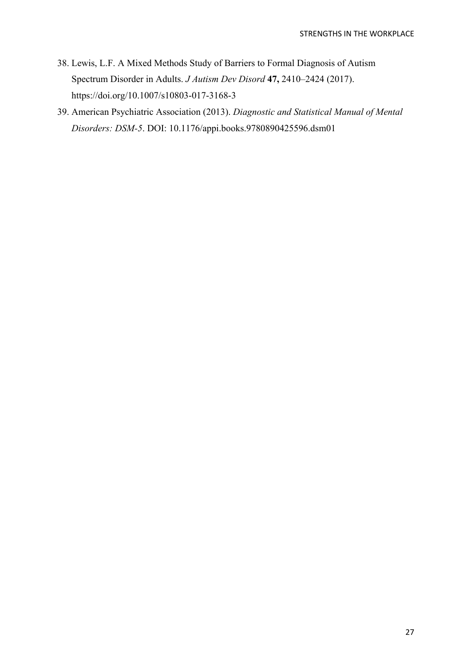- 38. Lewis, L.F. A Mixed Methods Study of Barriers to Formal Diagnosis of Autism Spectrum Disorder in Adults. *J Autism Dev Disord* **47,** 2410–2424 (2017). https://doi.org/10.1007/s10803-017-3168-3
- 39. American Psychiatric Association (2013). *Diagnostic and Statistical Manual of Mental Disorders: DSM-5*. DOI: 10.1176/appi.books.9780890425596.dsm01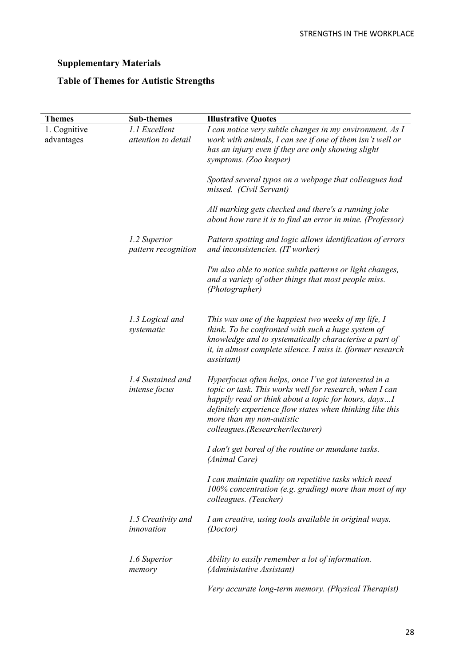# **Supplementary Materials**

# **Table of Themes for Autistic Strengths**

| <b>Themes</b>              | <b>Sub-themes</b>                    | <b>Illustrative Quotes</b>                                                                                                                                                                                                                                                                             |
|----------------------------|--------------------------------------|--------------------------------------------------------------------------------------------------------------------------------------------------------------------------------------------------------------------------------------------------------------------------------------------------------|
| 1. Cognitive<br>advantages | 1.1 Excellent<br>attention to detail | I can notice very subtle changes in my environment. As I<br>work with animals, I can see if one of them isn't well or<br>has an injury even if they are only showing slight<br>symptoms. (Zoo keeper)                                                                                                  |
|                            |                                      | Spotted several typos on a webpage that colleagues had<br>missed. (Civil Servant)                                                                                                                                                                                                                      |
|                            |                                      | All marking gets checked and there's a running joke<br>about how rare it is to find an error in mine. (Professor)                                                                                                                                                                                      |
|                            | 1.2 Superior<br>pattern recognition  | Pattern spotting and logic allows identification of errors<br>and inconsistencies. (IT worker)                                                                                                                                                                                                         |
|                            |                                      | I'm also able to notice subtle patterns or light changes,<br>and a variety of other things that most people miss.<br>(Photographer)                                                                                                                                                                    |
|                            | 1.3 Logical and<br>systematic        | This was one of the happiest two weeks of my life, I<br>think. To be confronted with such a huge system of<br>knowledge and to systematically characterise a part of<br>it, in almost complete silence. I miss it. (former research<br><i>assistant</i> )                                              |
|                            | 1.4 Sustained and<br>intense focus   | Hyperfocus often helps, once I've got interested in a<br>topic or task. This works well for research, when I can<br>happily read or think about a topic for hours, daysI<br>definitely experience flow states when thinking like this<br>more than my non-autistic<br>colleagues.(Researcher/lecturer) |
|                            |                                      | I don't get bored of the routine or mundane tasks.<br>(Animal Care)                                                                                                                                                                                                                                    |
|                            |                                      | I can maintain quality on repetitive tasks which need<br>$100\%$ concentration (e.g. grading) more than most of my<br>colleagues. (Teacher)                                                                                                                                                            |
|                            | 1.5 Creativity and<br>innovation     | I am creative, using tools available in original ways.<br>(Doctor)                                                                                                                                                                                                                                     |
|                            | 1.6 Superior<br>memory               | Ability to easily remember a lot of information.<br>(Administative Assistant)                                                                                                                                                                                                                          |
|                            |                                      | Very accurate long-term memory. (Physical Therapist)                                                                                                                                                                                                                                                   |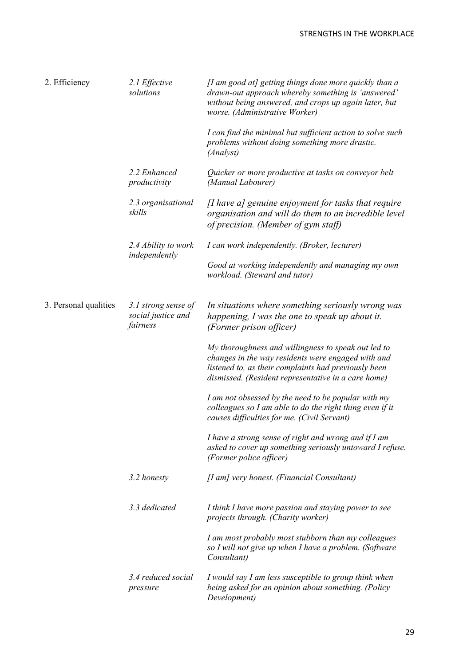| 2. Efficiency         | 2.1 Effective<br>solutions                            | [I am good at] getting things done more quickly than a<br>drawn-out approach whereby something is 'answered'<br>without being answered, and crops up again later, but<br>worse. (Administrative Worker)                  |
|-----------------------|-------------------------------------------------------|--------------------------------------------------------------------------------------------------------------------------------------------------------------------------------------------------------------------------|
|                       |                                                       | I can find the minimal but sufficient action to solve such<br>problems without doing something more drastic.<br>(Analyst)                                                                                                |
|                       | 2.2 Enhanced<br>productivity                          | Quicker or more productive at tasks on conveyor belt<br>(Manual Labourer)                                                                                                                                                |
|                       | 2.3 organisational<br>skills                          | $\iint$ have a] genuine enjoyment for tasks that require<br>organisation and will do them to an incredible level<br>of precision. (Member of gym staff)                                                                  |
|                       | 2.4 Ability to work                                   | I can work independently. (Broker, lecturer)                                                                                                                                                                             |
|                       | independently                                         | Good at working independently and managing my own<br>workload. (Steward and tutor)                                                                                                                                       |
| 3. Personal qualities | 3.1 strong sense of<br>social justice and<br>fairness | In situations where something seriously wrong was<br>happening, I was the one to speak up about it.<br>(Former prison officer)                                                                                           |
|                       |                                                       | My thoroughness and willingness to speak out led to<br>changes in the way residents were engaged with and<br>listened to, as their complaints had previously been<br>dismissed. (Resident representative in a care home) |
|                       |                                                       | I am not obsessed by the need to be popular with my<br>colleagues so I am able to do the right thing even if it<br>causes difficulties for me. (Civil Servant)                                                           |
|                       |                                                       | I have a strong sense of right and wrong and if I am<br>asked to cover up something seriously untoward I refuse.<br>(Former police officer)                                                                              |
|                       | 3.2 honesty                                           | [I am] very honest. (Financial Consultant)                                                                                                                                                                               |
|                       | 3.3 dedicated                                         | I think I have more passion and staying power to see<br>projects through. (Charity worker)                                                                                                                               |
|                       |                                                       | I am most probably most stubborn than my colleagues<br>so I will not give up when I have a problem. (Software<br>Consultant)                                                                                             |
|                       | 3.4 reduced social<br>pressure                        | I would say I am less susceptible to group think when<br>being asked for an opinion about something. (Policy<br>Development)                                                                                             |